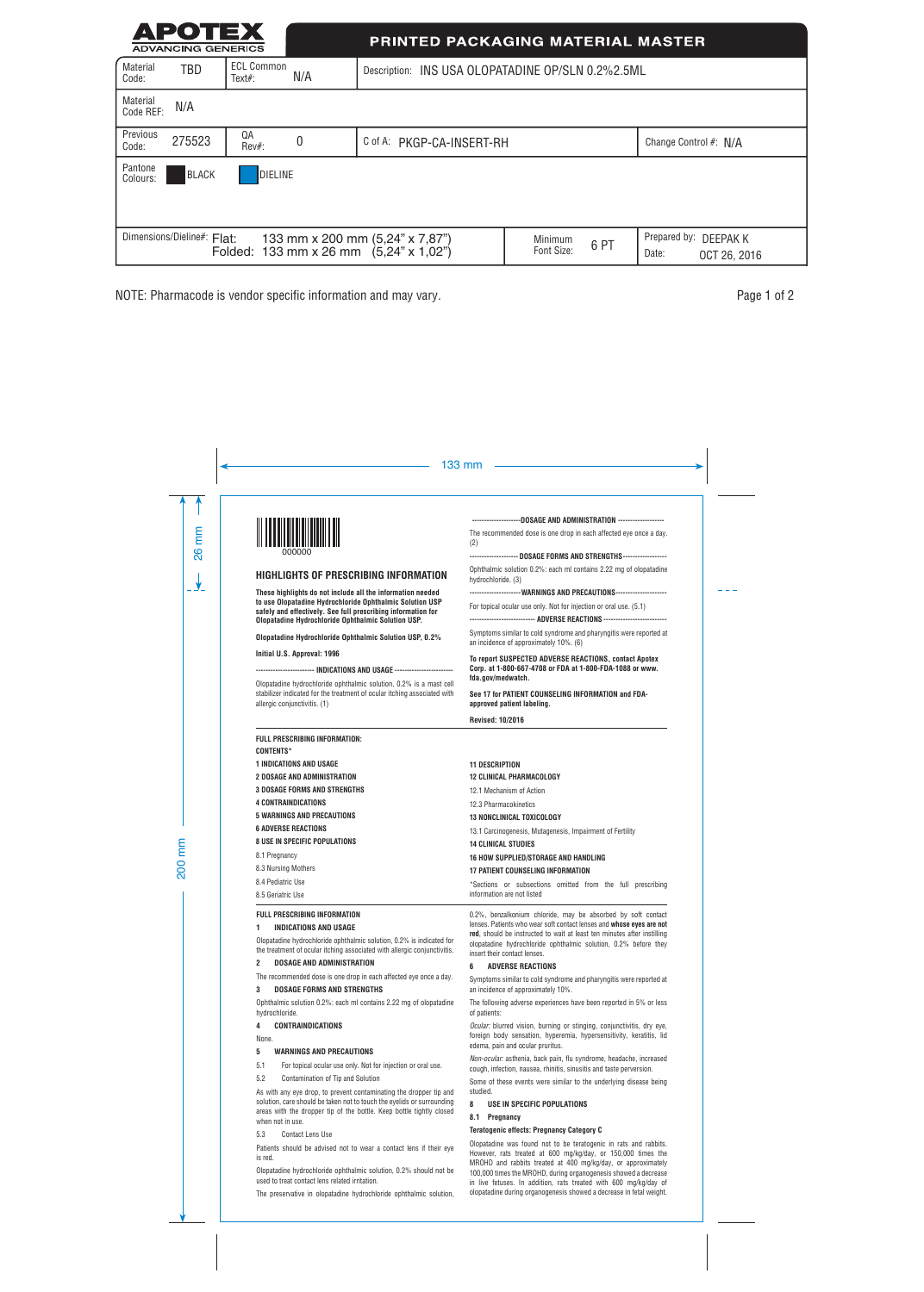| АРОТЕХ<br><b>ADVANCING GENERICS</b>                                                                                                                                                                 |                                | <b>PRINTED PACKAGING MATERIAL MASTER</b> |                                                   |  |  |                       |
|-----------------------------------------------------------------------------------------------------------------------------------------------------------------------------------------------------|--------------------------------|------------------------------------------|---------------------------------------------------|--|--|-----------------------|
| <b>Material</b><br>TBD<br>Code:                                                                                                                                                                     | <b>ECL Common</b><br>$Text#$ : | N/A                                      | Description: INS USA OLOPATADINE OP/SLN 0.2%2.5ML |  |  |                       |
| <b>Material</b><br>N/A<br>Code REF:                                                                                                                                                                 |                                |                                          |                                                   |  |  |                       |
| Previous<br>275523<br>Code:                                                                                                                                                                         | QA<br>Rev#:                    | 0                                        | C of A: PKGP-CA-INSERT-RH                         |  |  | Change Control #: N/A |
| Pantone<br><b>BLACK</b><br>Colours:                                                                                                                                                                 | DIELINE                        |                                          |                                                   |  |  |                       |
| Dimensions/Dieline#: Flat:<br>Prepared by:<br>133 mm x 200 mm (5,24" x 7,87")<br>DEEPAK K<br>Minimum<br>6PT<br>Folded: 133 mm x 26 mm $(5,24" \times 1,02")$<br>Font Size:<br>Date:<br>OCT 26, 2016 |                                |                                          |                                                   |  |  |                       |

NOTE: Pharmacode is vendor specific information and may vary. **Page 1** of 2

|   | 133 mm                                                                                                                                                                                                                                                               |                                                                                                                                                                                                                                                                                                                                                     |  |  |
|---|----------------------------------------------------------------------------------------------------------------------------------------------------------------------------------------------------------------------------------------------------------------------|-----------------------------------------------------------------------------------------------------------------------------------------------------------------------------------------------------------------------------------------------------------------------------------------------------------------------------------------------------|--|--|
|   | 000000                                                                                                                                                                                                                                                               | -------------------DOSAGE AND ADMINISTRATION -------------------<br>The recommended dose is one drop in each affected eye once a day.<br>(2)<br>-------------------- DOSAGE FORMS AND STRENGTHS-------------------                                                                                                                                  |  |  |
|   | HIGHLIGHTS OF PRESCRIBING INFORMATION                                                                                                                                                                                                                                | Ophthalmic solution 0.2%: each ml contains 2.22 mg of olopatadine<br>hydrochloride. (3)                                                                                                                                                                                                                                                             |  |  |
|   | These highlights do not include all the information needed<br>to use Olopatadine Hydrochloride Ophthalmic Solution USP<br>safely and effectively. See full prescribing information for<br>Olopatadine Hydrochloride Ophthalmic Solution USP.                         | --------------------- WARNINGS AND PRECAUTIONS---------------------<br>For topical ocular use only. Not for injection or oral use. (5.1)<br>-------------------------- ADVERSE REACTIONS --------------------------                                                                                                                                 |  |  |
|   | Olopatadine Hydrochloride Ophthalmic Solution USP, 0.2%                                                                                                                                                                                                              | Symptoms similar to cold syndrome and pharyngitis were reported at<br>an incidence of approximately 10%. (6)                                                                                                                                                                                                                                        |  |  |
|   | Initial U.S. Approval: 1996<br>----------------------- INDICATIONS AND USAGE ------------------------                                                                                                                                                                | To report SUSPECTED ADVERSE REACTIONS, contact Apotex<br>Corp. at 1-800-667-4708 or FDA at 1-800-FDA-1088 or www.<br>fda.gov/medwatch.<br>See 17 for PATIENT COUNSELING INFORMATION and FDA-<br>approved patient labeling.                                                                                                                          |  |  |
|   | Olopatadine hydrochloride ophthalmic solution, 0.2% is a mast cell<br>stabilizer indicated for the treatment of ocular itching associated with<br>allergic conjunctivitis. (1)                                                                                       |                                                                                                                                                                                                                                                                                                                                                     |  |  |
|   |                                                                                                                                                                                                                                                                      | <b>Revised: 10/2016</b>                                                                                                                                                                                                                                                                                                                             |  |  |
|   | FULL PRESCRIBING INFORMATION:<br><b>CONTENTS*</b>                                                                                                                                                                                                                    |                                                                                                                                                                                                                                                                                                                                                     |  |  |
|   | <b>1 INDICATIONS AND USAGE</b><br><b>2 DOSAGE AND ADMINISTRATION</b>                                                                                                                                                                                                 | <b>11 DESCRIPTION</b><br><b>12 CLINICAL PHARMACOLOGY</b>                                                                                                                                                                                                                                                                                            |  |  |
|   | <b>3 DOSAGE FORMS AND STRENGTHS</b>                                                                                                                                                                                                                                  | 12.1 Mechanism of Action                                                                                                                                                                                                                                                                                                                            |  |  |
|   | <b>4 CONTRAINDICATIONS</b>                                                                                                                                                                                                                                           | 12.3 Pharmacokinetics                                                                                                                                                                                                                                                                                                                               |  |  |
|   | <b>5 WARNINGS AND PRECAUTIONS</b>                                                                                                                                                                                                                                    | <b>13 NONCLINICAL TOXICOLOGY</b>                                                                                                                                                                                                                                                                                                                    |  |  |
|   | <b>6 ADVERSE REACTIONS</b>                                                                                                                                                                                                                                           | 13.1 Carcinogenesis, Mutagenesis, Impairment of Fertility                                                                                                                                                                                                                                                                                           |  |  |
|   | <b>8 USE IN SPECIFIC POPULATIONS</b>                                                                                                                                                                                                                                 | <b>14 CLINICAL STUDIES</b>                                                                                                                                                                                                                                                                                                                          |  |  |
|   | 8.1 Pregnancy                                                                                                                                                                                                                                                        | 16 HOW SUPPLIED/STORAGE AND HANDLING                                                                                                                                                                                                                                                                                                                |  |  |
|   | 8.3 Nursing Mothers<br>8.4 Pediatric Use                                                                                                                                                                                                                             | <b>17 PATIENT COUNSELING INFORMATION</b>                                                                                                                                                                                                                                                                                                            |  |  |
|   | 8.5 Geriatric Use                                                                                                                                                                                                                                                    | *Sections or subsections omitted from the full prescribing<br>information are not listed                                                                                                                                                                                                                                                            |  |  |
|   | <b>FULL PRESCRIBING INFORMATION</b><br>1<br>INDICATIONS AND USAGE<br>Olopatadine hydrochloride ophthalmic solution, 0.2% is indicated for<br>the treatment of ocular itching associated with allergic conjunctivitis.<br>$\overline{c}$<br>DOSAGE AND ADMINISTRATION | 0.2%, benzalkonium chloride, may be absorbed by soft contact<br>lenses. Patients who wear soft contact lenses and whose eyes are not<br>red, should be instructed to wait at least ten minutes after instilling<br>olopatadine hydrochloride ophthalmic solution, 0.2% before they<br>insert their contact lenses.<br><b>ADVERSE REACTIONS</b><br>6 |  |  |
|   | The recommended dose is one drop in each affected eye once a day.<br><b>DOSAGE FORMS AND STRENGTHS</b><br>3                                                                                                                                                          | Symptoms similar to cold syndrome and pharyngitis were reported at<br>an incidence of approximately 10%.                                                                                                                                                                                                                                            |  |  |
|   | Ophthalmic solution 0.2%: each ml contains 2.22 mg of olopatadine<br>hydrochloride.                                                                                                                                                                                  | The following adverse experiences have been reported in 5% or less<br>of patients:                                                                                                                                                                                                                                                                  |  |  |
| 4 | <b>CONTRAINDICATIONS</b><br>None.                                                                                                                                                                                                                                    | Ocular: blurred vision, burning or stinging, conjunctivitis, dry eye,<br>foreign body sensation, hyperemia, hypersensitivity, keratitis, lid<br>edema, pain and ocular pruritus.                                                                                                                                                                    |  |  |
|   | 5<br><b>WARNINGS AND PRECAUTIONS</b><br>5.1<br>For topical ocular use only. Not for injection or oral use.                                                                                                                                                           | Non-ocular: asthenia, back pain, flu syndrome, headache, increased<br>cough, infection, nausea, rhinitis, sinusitis and taste perversion.                                                                                                                                                                                                           |  |  |
|   | 5.2<br>Contamination of Tip and Solution<br>As with any eye drop, to prevent contaminating the dropper tip and<br>solution, care should be taken not to touch the eyelids or surrounding                                                                             | Some of these events were similar to the underlying disease being<br>studied.                                                                                                                                                                                                                                                                       |  |  |
|   | areas with the dropper tip of the bottle. Keep bottle tightly closed<br>when not in use.                                                                                                                                                                             | 8<br>USE IN SPECIFIC POPULATIONS<br>8.1 Pregnancy                                                                                                                                                                                                                                                                                                   |  |  |
|   | 5.3<br><b>Contact Lens Use</b>                                                                                                                                                                                                                                       | <b>Teratogenic effects: Pregnancy Category C</b>                                                                                                                                                                                                                                                                                                    |  |  |
|   | Patients should be advised not to wear a contact lens if their eye<br>is red.<br>Olopatadine hydrochloride ophthalmic solution, 0.2% should not be<br>used to treat contact lens related irritation.                                                                 | Olopatadine was found not to be teratogenic in rats and rabbits.<br>However, rats treated at 600 mg/kg/day, or 150,000 times the<br>MROHD and rabbits treated at 400 mg/kg/day, or approximately<br>100,000 times the MROHD, during organogenesis showed a decrease<br>in live fetuses. In addition, rats treated with 600 mg/kg/day of             |  |  |